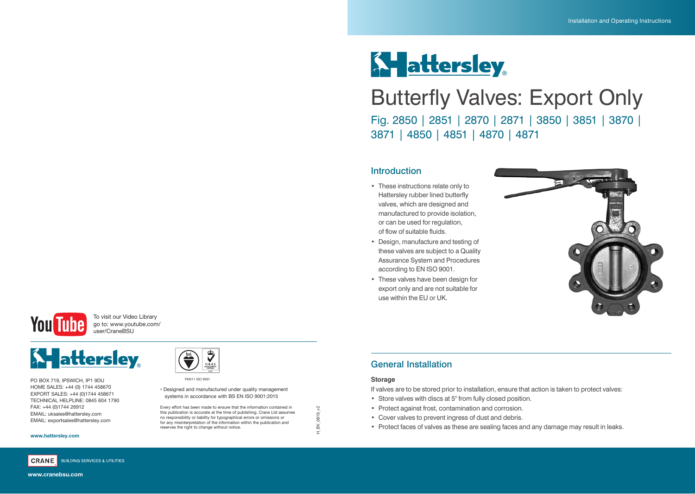# **K-** attersley

## Butterfly Valves: Export Only Fig. 2850 | 2851 | 2870 | 2871 | 3850 | 3851 | 3870 | 3871 | 4850 | 4851 | 4870 | 4871

#### Introduction

- These instructions relate only to Hattersley rubber lined butterfly valves, which are designed and manufactured to provide isolation, or can be used for regulation, of flow of suitable fluids.
- Design, manufacture and testing of these valves are subject to a Quality Assurance System and Procedures according to EN ISO 9001.
- These valves have been design for export only and are not suitable for use within the EU or UK.





To visit our Video Library go to: www.youtube.com/ user/CraneBSU



PO BOX 719, IPSWICH, IP1 9DU HOME SALES: +44 (0) 1744 458670 EXPORT SALES: +44 (0)1744 458671 TECHNICAL HELPLINE: 0845 604 1790 FAX: +44 (0)1744 26912 EMAIL: uksales@hattersley.com EMAIL: exportsales@hattersley.com

#### **www.hattersley.com**



**www.cranebsu.com**



#### • Designed and manufactured under quality management systems in accordance with BS EN ISO 9001:2015

Every effort has been made to ensure that the information contained in this publication is accurate at the time of publishing. Crane Ltd assumes no responsibility or liability for typographical errors or omissions or for any misinterpretation of the information within the publication and reserves the right to change without notice.

#### General Installation

#### **Storage**

H\_BV\_0819\_v2

 $\tilde{\mathcal{S}}$  $H_BV_0819$  If valves are to be stored prior to installation, ensure that action is taken to protect valves:

- Store valves with discs at 5° from fully closed position.
- Protect against frost, contamination and corrosion.
- Cover valves to prevent ingress of dust and debris.
- Protect faces of valves as these are sealing faces and any damage may result in leaks.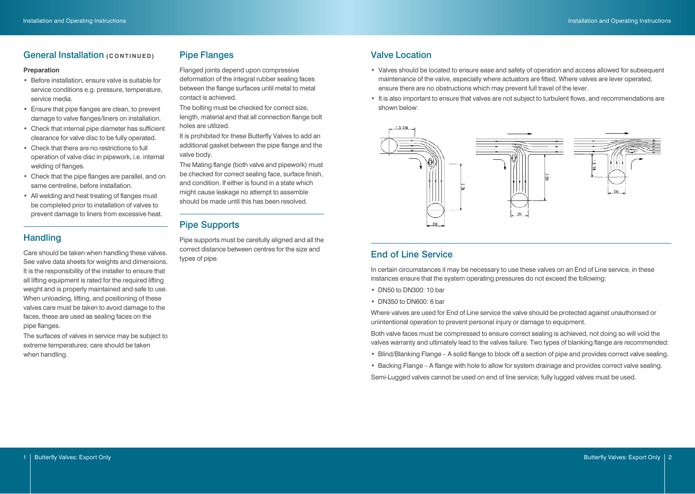#### **General Installation (CONTINUED)**

#### **Preparation**

- Before installation, ensure valve is suitable for service conditions e.g. pressure, temperature, service media.
- Ensure that pipe flanges are clean, to prevent damage to valve flanges/liners on installation.
- Check that internal pipe diameter has sufficient clearance for valve disc to be fully operated.
- Check that there are no restrictions to full operation of valve disc in pipework, i.e. internal welding of flanges.
- Check that the pipe flanges are parallel, and on same centreline, before installation.
- All welding and heat treating of flanges must be completed prior to installation of valves to prevent damage to liners from excessive heat.

#### **Handling**

Care should be taken when handling these valves. See valve data sheets for weights and dimensions. It is the responsibility of the installer to ensure that all lifting equipment is rated for the required lifting weight and is properly maintained and safe to use. When unloading, lifting, and positioning of these valves care must be taken to avoid damage to the faces, these are used as sealing faces on the pipe flanges.

The surfaces of valves in service may be subject to extreme temperatures; care should be taken when handling.

#### Pipe Flanges

Flanged joints depend upon compressive deformation of the integral rubber sealing faces between the flange surfaces until metal to metal contact is achieved.

The bolting must be checked for correct size, length, material and that all connection flange bolt holes are utilized.

It is prohibited for these Butterfly Valves to add an additional gasket between the pipe flange and the valve body.

The Mating flange (both valve and pipework) must be checked for correct sealing face, surface finish, and condition. If either is found in a state which might cause leakage no attempt to assemble should be made until this has been resolved.

#### Pipe Supports

Pipe supports must be carefully aligned and all the correct distance between centres for the size and types of pipe.

#### Valve Location

- Valves should be located to ensure ease and safety of operation and access allowed for subsequent maintenance of the valve, especially where actuators are fitted. Where valves are lever operated, ensure there are no obstructions which may prevent full travel of the lever.
- It is also important to ensure that valves are not subject to turbulent flows, and recommendations are shown below:



#### End of Line Service

In certain circumstances it may be necessary to use these valves on an End of Line service, in these instances ensure that the system operating pressures do not exceed the following:

- DN50 to DN300: 10 bar
- DN350 to DN600: 6 bar

Where valves are used for End of Line service the valve should be protected against unauthorised or unintentional operation to prevent personal injury or damage to equipment.

Both valve faces must be compressed to ensure correct sealing is achieved, not doing so will void the valves warranty and ultimately lead to the valves failure. Two types of blanking flange are recommended:

- Blind/Blanking Flange A solid flange to block off a section of pipe and provides correct valve sealing.
- Backing Flange A flange with hole to allow for system drainage and provides correct valve sealing. Semi-Lugged valves cannot be used on end of line service; fully lugged valves must be used.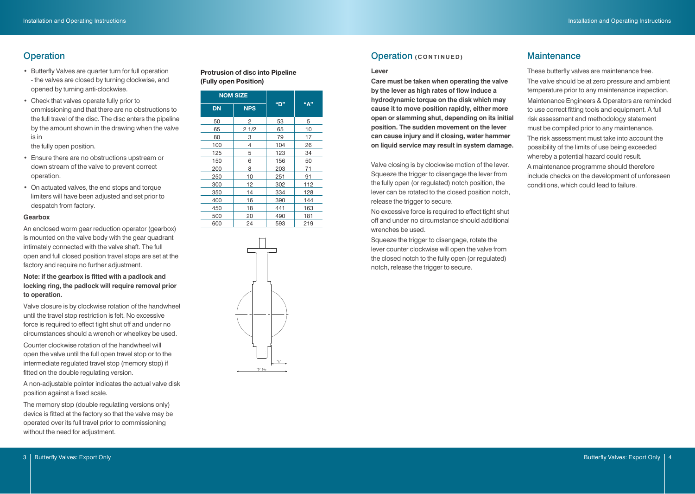- Butterfly Valves are quarter turn for full operation - the valves are closed by turning clockwise, and opened by turning anti-clockwise.
- Check that valves operate fully prior to ommissioning and that there are no obstructions to the full travel of the disc. The disc enters the pipeline by the amount shown in the drawing when the valve is in

the fully open position.

- Ensure there are no obstructions upstream or down stream of the valve to prevent correct operation.
- On actuated valves, the end stops and torque limiters will have been adjusted and set prior to despatch from factory.

#### **Gearbox**

An enclosed worm gear reduction operator (gearbox) is mounted on the valve body with the gear quadrant intimately connected with the valve shaft. The full open and full closed position travel stops are set at the factory and require no further adjustment.

#### **Note: if the gearbox is fitted with a padlock and locking ring, the padlock will require removal prior to operation.**

Valve closure is by clockwise rotation of the handwheel until the travel stop restriction is felt. No excessive force is required to effect tight shut off and under no circumstances should a wrench or wheelkey be used.

Counter clockwise rotation of the handwheel will open the valve until the full open travel stop or to the intermediate regulated travel stop (memory stop) if fitted on the double regulating version.

A non-adjustable pointer indicates the actual valve disk position against a fixed scale.

The memory stop (double regulating versions only) device is fitted at the factory so that the valve may be operated over its full travel prior to commissioning without the need for adjustment.

#### **Protrusion of disc into Pipeline (Fully open Position)**

| <b>NOM SIZE</b> |                |     |     |
|-----------------|----------------|-----|-----|
| <b>DN</b>       | <b>NPS</b>     | "D" | "A" |
| 50              | 2              | 53  | 5   |
| 65              | 21/2           | 65  | 10  |
| 80              | 3              | 79  | 17  |
| 100             | $\overline{4}$ | 104 | 26  |
| 125             | 5              | 123 | 34  |
| 150             | 6              | 156 | 50  |
| 200             | 8              | 203 | 71  |
| 250             | 10             | 251 | 91  |
| 300             | 12             | 302 | 112 |
| 350             | 14             | 334 | 128 |
| 400             | 16             | 390 | 144 |
| 450             | 18             | 441 | 163 |
| 500             | 20             | 490 | 181 |
| 600             | 24             | 593 | 219 |



#### **Operation CONTINUED) CONTINUED CONTINUED**

#### **Lever**

**Care must be taken when operating the valve by the lever as high rates of flow induce a hydrodynamic torque on the disk which may cause it to move position rapidly, either more open or slamming shut, depending on its initial position. The sudden movement on the lever can cause injury and if closing, water hammer on liquid service may result in system damage.**

Valve closing is by clockwise motion of the lever. Squeeze the trigger to disengage the lever from the fully open (or regulated) notch position, the lever can be rotated to the closed position notch, release the trigger to secure.

No excessive force is required to effect tight shut off and under no circumstance should additional wrenches be used.

Squeeze the trigger to disengage, rotate the lever counter clockwise will open the valve from the closed notch to the fully open (or regulated) notch, release the trigger to secure.

#### **Maintenance**

These butterfly valves are maintenance free. The valve should be at zero pressure and ambient temperature prior to any maintenance inspection. Maintenance Engineers & Operators are reminded to use correct fitting tools and equipment. A full risk assessment and methodology statement must be compiled prior to any maintenance. The risk assessment must take into account the possibility of the limits of use being exceeded whereby a potential hazard could result. A maintenance programme should therefore include checks on the development of unforeseen conditions, which could lead to failure.